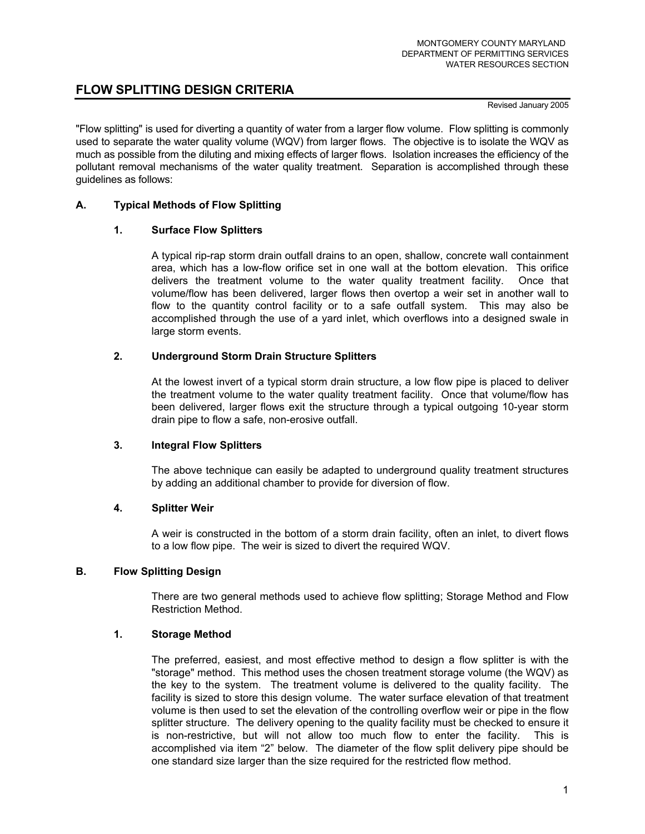# **FLOW SPLITTING DESIGN CRITERIA**

#### Revised January 2005

"Flow splitting" is used for diverting a quantity of water from a larger flow volume. Flow splitting is commonly used to separate the water quality volume (WQV) from larger flows. The objective is to isolate the WQV as much as possible from the diluting and mixing effects of larger flows. Isolation increases the efficiency of the pollutant removal mechanisms of the water quality treatment. Separation is accomplished through these guidelines as follows:

## **A. Typical Methods of Flow Splitting**

## **1. Surface Flow Splitters**

 A typical rip-rap storm drain outfall drains to an open, shallow, concrete wall containment area, which has a low-flow orifice set in one wall at the bottom elevation. This orifice delivers the treatment volume to the water quality treatment facility. Once that volume/flow has been delivered, larger flows then overtop a weir set in another wall to flow to the quantity control facility or to a safe outfall system. This may also be accomplished through the use of a yard inlet, which overflows into a designed swale in large storm events.

# **2. Underground Storm Drain Structure Splitters**

 At the lowest invert of a typical storm drain structure, a low flow pipe is placed to deliver the treatment volume to the water quality treatment facility. Once that volume/flow has been delivered, larger flows exit the structure through a typical outgoing 10-year storm drain pipe to flow a safe, non-erosive outfall.

## **3. Integral Flow Splitters**

 The above technique can easily be adapted to underground quality treatment structures by adding an additional chamber to provide for diversion of flow.

## **4. Splitter Weir**

A weir is constructed in the bottom of a storm drain facility, often an inlet, to divert flows to a low flow pipe. The weir is sized to divert the required WQV.

## **B. Flow Splitting Design**

There are two general methods used to achieve flow splitting; Storage Method and Flow Restriction Method.

## **1. Storage Method**

 The preferred, easiest, and most effective method to design a flow splitter is with the "storage" method. This method uses the chosen treatment storage volume (the WQV) as the key to the system. The treatment volume is delivered to the quality facility. The facility is sized to store this design volume. The water surface elevation of that treatment volume is then used to set the elevation of the controlling overflow weir or pipe in the flow splitter structure. The delivery opening to the quality facility must be checked to ensure it is non-restrictive, but will not allow too much flow to enter the facility. This is accomplished via item "2" below. The diameter of the flow split delivery pipe should be one standard size larger than the size required for the restricted flow method.